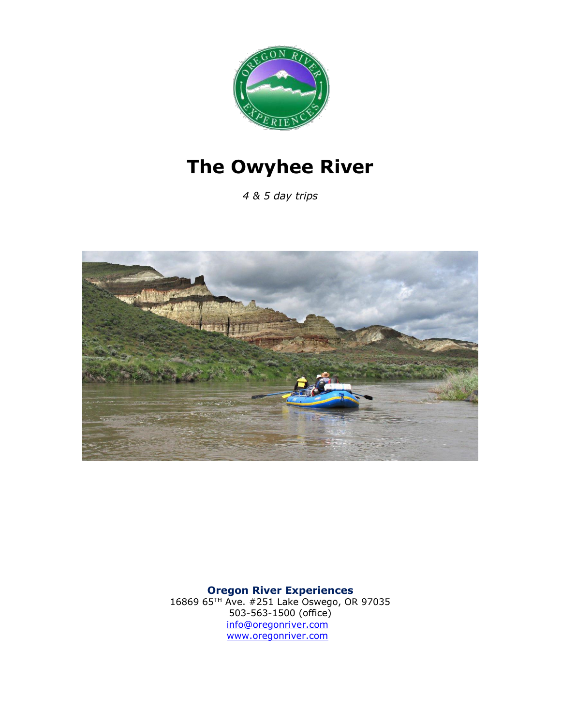

# **The Owyhee River**

*4 & 5 day trips*



**Oregon River Experiences**

16869 65TH Ave. #251 Lake Oswego, OR 97035 503-563-1500 (office) [info@oregonriver.com](mailto:info@oregonriver.com)  [www.oregonriver.com](http://www.oregonriver.com/)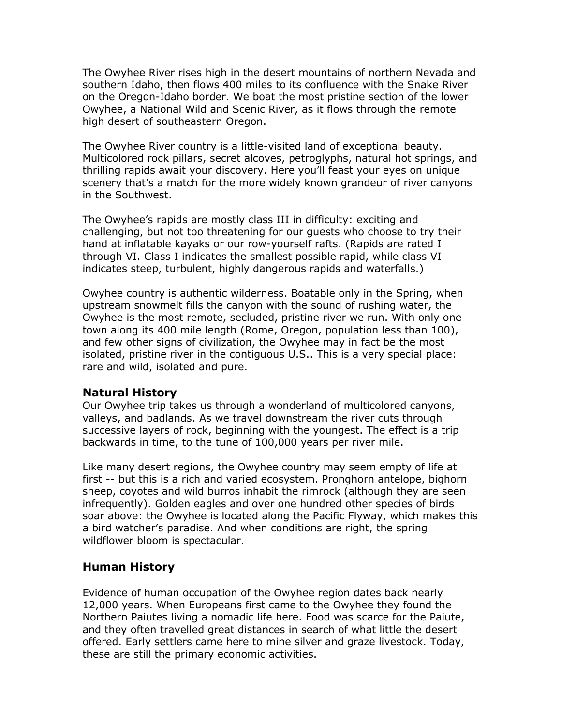The Owyhee River rises high in the desert mountains of northern Nevada and southern Idaho, then flows 400 miles to its confluence with the Snake River on the Oregon-Idaho border. We boat the most pristine section of the lower Owyhee, a National Wild and Scenic River, as it flows through the remote high desert of southeastern Oregon.

The Owyhee River country is a little-visited land of exceptional beauty. Multicolored rock pillars, secret alcoves, petroglyphs, natural hot springs, and thrilling rapids await your discovery. Here you'll feast your eyes on unique scenery that's a match for the more widely known grandeur of river canyons in the Southwest.

The Owyhee's rapids are mostly class III in difficulty: exciting and challenging, but not too threatening for our guests who choose to try their hand at inflatable kayaks or our row-yourself rafts. (Rapids are rated I through VI. Class I indicates the smallest possible rapid, while class VI indicates steep, turbulent, highly dangerous rapids and waterfalls.)

Owyhee country is authentic wilderness. Boatable only in the Spring, when upstream snowmelt fills the canyon with the sound of rushing water, the Owyhee is the most remote, secluded, pristine river we run. With only one town along its 400 mile length (Rome, Oregon, population less than 100), and few other signs of civilization, the Owyhee may in fact be the most isolated, pristine river in the contiguous U.S.. This is a very special place: rare and wild, isolated and pure.

#### **Natural History**

Our Owyhee trip takes us through a wonderland of multicolored canyons, valleys, and badlands. As we travel downstream the river cuts through successive layers of rock, beginning with the youngest. The effect is a trip backwards in time, to the tune of 100,000 years per river mile.

Like many desert regions, the Owyhee country may seem empty of life at first -- but this is a rich and varied ecosystem. Pronghorn antelope, bighorn sheep, coyotes and wild burros inhabit the rimrock (although they are seen infrequently). Golden eagles and over one hundred other species of birds soar above: the Owyhee is located along the Pacific Flyway, which makes this a bird watcher's paradise. And when conditions are right, the spring wildflower bloom is spectacular.

#### **Human History**

Evidence of human occupation of the Owyhee region dates back nearly 12,000 years. When Europeans first came to the Owyhee they found the Northern Paiutes living a nomadic life here. Food was scarce for the Paiute, and they often travelled great distances in search of what little the desert offered. Early settlers came here to mine silver and graze livestock. Today, these are still the primary economic activities.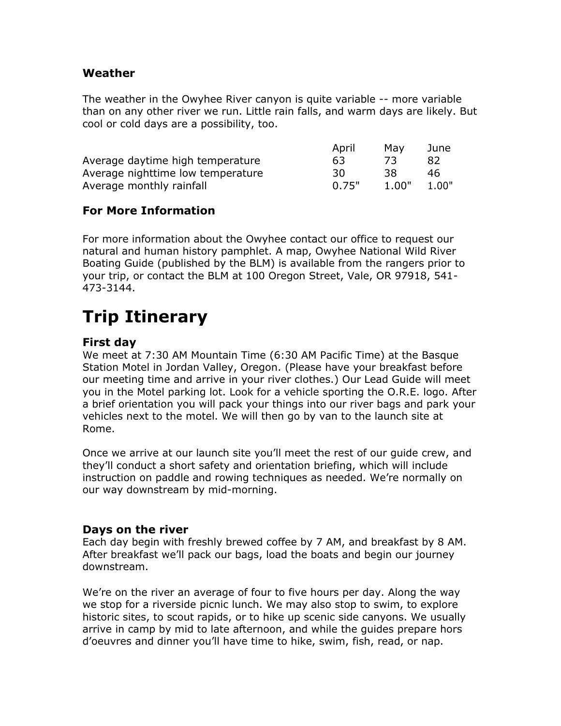#### **Weather**

The weather in the Owyhee River canyon is quite variable -- more variable than on any other river we run. Little rain falls, and warm days are likely. But cool or cold days are a possibility, too.

|                                   | April | Mav   | June  |
|-----------------------------------|-------|-------|-------|
| Average daytime high temperature  | 63    |       | 82    |
| Average nighttime low temperature | 30    | 38    | 46    |
| Average monthly rainfall          | 0.75" | 1.00" | 1.00" |

#### **For More Information**

For more information about the Owyhee contact our office to request our natural and human history pamphlet. A map, Owyhee National Wild River Boating Guide (published by the BLM) is available from the rangers prior to your trip, or contact the BLM at 100 Oregon Street, Vale, OR 97918, 541- 473-3144.

## **Trip Itinerary**

#### **First day**

We meet at 7:30 AM Mountain Time (6:30 AM Pacific Time) at the Basque Station Motel in Jordan Valley, Oregon. (Please have your breakfast before our meeting time and arrive in your river clothes.) Our Lead Guide will meet you in the Motel parking lot. Look for a vehicle sporting the O.R.E. logo. After a brief orientation you will pack your things into our river bags and park your vehicles next to the motel. We will then go by van to the launch site at Rome.

Once we arrive at our launch site you'll meet the rest of our guide crew, and they'll conduct a short safety and orientation briefing, which will include instruction on paddle and rowing techniques as needed. We're normally on our way downstream by mid-morning.

#### **Days on the river**

Each day begin with freshly brewed coffee by 7 AM, and breakfast by 8 AM. After breakfast we'll pack our bags, load the boats and begin our journey downstream.

We're on the river an average of four to five hours per day. Along the way we stop for a riverside picnic lunch. We may also stop to swim, to explore historic sites, to scout rapids, or to hike up scenic side canyons. We usually arrive in camp by mid to late afternoon, and while the guides prepare hors d'oeuvres and dinner you'll have time to hike, swim, fish, read, or nap.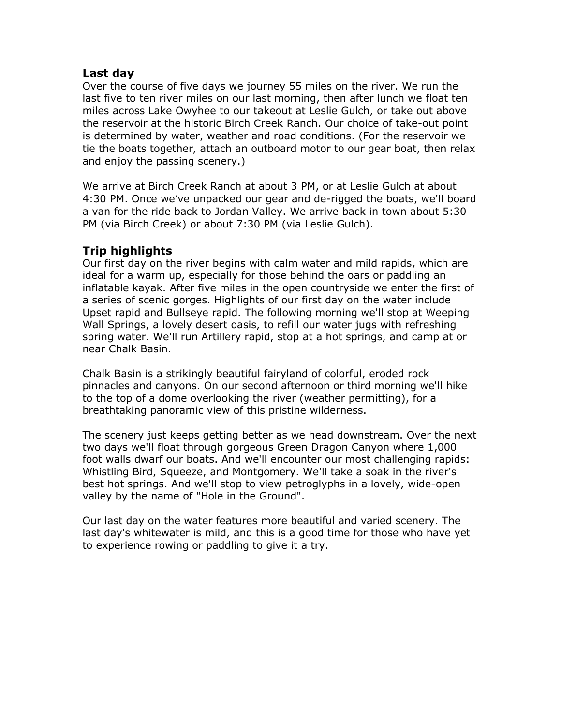#### **Last day**

Over the course of five days we journey 55 miles on the river. We run the last five to ten river miles on our last morning, then after lunch we float ten miles across Lake Owyhee to our takeout at Leslie Gulch, or take out above the reservoir at the historic Birch Creek Ranch. Our choice of take-out point is determined by water, weather and road conditions. (For the reservoir we tie the boats together, attach an outboard motor to our gear boat, then relax and enjoy the passing scenery.)

We arrive at Birch Creek Ranch at about 3 PM, or at Leslie Gulch at about 4:30 PM. Once we've unpacked our gear and de-rigged the boats, we'll board a van for the ride back to Jordan Valley. We arrive back in town about 5:30 PM (via Birch Creek) or about 7:30 PM (via Leslie Gulch).

#### **Trip highlights**

Our first day on the river begins with calm water and mild rapids, which are ideal for a warm up, especially for those behind the oars or paddling an inflatable kayak. After five miles in the open countryside we enter the first of a series of scenic gorges. Highlights of our first day on the water include Upset rapid and Bullseye rapid. The following morning we'll stop at Weeping Wall Springs, a lovely desert oasis, to refill our water jugs with refreshing spring water. We'll run Artillery rapid, stop at a hot springs, and camp at or near Chalk Basin.

Chalk Basin is a strikingly beautiful fairyland of colorful, eroded rock pinnacles and canyons. On our second afternoon or third morning we'll hike to the top of a dome overlooking the river (weather permitting), for a breathtaking panoramic view of this pristine wilderness.

The scenery just keeps getting better as we head downstream. Over the next two days we'll float through gorgeous Green Dragon Canyon where 1,000 foot walls dwarf our boats. And we'll encounter our most challenging rapids: Whistling Bird, Squeeze, and Montgomery. We'll take a soak in the river's best hot springs. And we'll stop to view petroglyphs in a lovely, wide-open valley by the name of "Hole in the Ground".

Our last day on the water features more beautiful and varied scenery. The last day's whitewater is mild, and this is a good time for those who have yet to experience rowing or paddling to give it a try.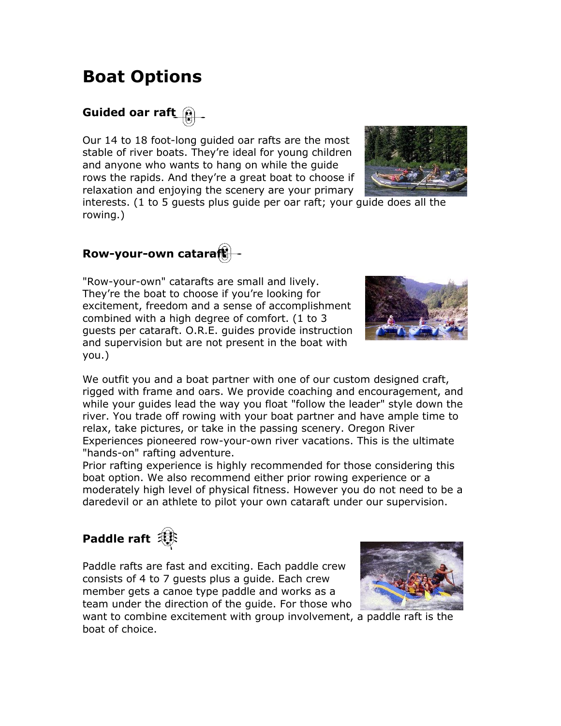### **Boat Options**

### **Guided oar raft**

Our 14 to 18 foot-long guided oar rafts are the most stable of river boats. They're ideal for young children and anyone who wants to hang on while the guide rows the rapids. And they're a great boat to choose if relaxation and enjoying the scenery are your primary



interests. (1 to 5 guests plus guide per oar raft; your guide does all the rowing.)

### **Row-your-own cataraft**

"Row-your-own" catarafts are small and lively. They're the boat to choose if you're looking for excitement, freedom and a sense of accomplishment combined with a high degree of comfort. (1 to 3 guests per cataraft. O.R.E. guides provide instruction and supervision but are not present in the boat with you.)



We outfit you and a boat partner with one of our custom designed craft, rigged with frame and oars. We provide coaching and encouragement, and while your guides lead the way you float "follow the leader" style down the river. You trade off rowing with your boat partner and have ample time to relax, take pictures, or take in the passing scenery. Oregon River Experiences pioneered row-your-own river vacations. This is the ultimate "hands-on" rafting adventure.

Prior rafting experience is highly recommended for those considering this boat option. We also recommend either prior rowing experience or a moderately high level of physical fitness. However you do not need to be a daredevil or an athlete to pilot your own cataraft under our supervision.

# Paddle raft<sup>(1</sup>)

Paddle rafts are fast and exciting. Each paddle crew consists of 4 to 7 guests plus a guide. Each crew member gets a canoe type paddle and works as a team under the direction of the guide. For those who



want to combine excitement with group involvement, a paddle raft is the boat of choice.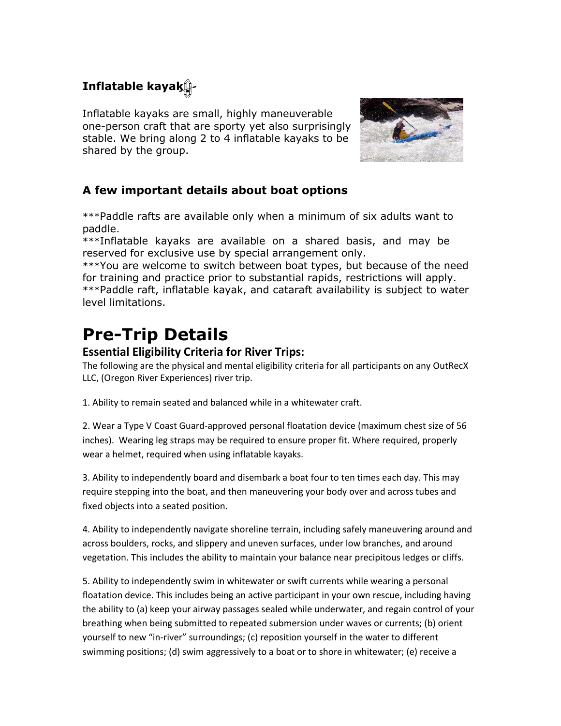### **Inflatable kayak**

Inflatable kayaks are small, highly maneuverable one-person craft that are sporty yet also surprisingly stable. We bring along 2 to 4 inflatable kayaks to be shared by the group.



#### **A few important details about boat options**

\*\*\*Paddle rafts are available only when a minimum of six adults want to paddle.

\*\*\*Inflatable kayaks are available on a shared basis, and may be reserved for exclusive use by special arrangement only.

\*\*\*You are welcome to switch between boat types, but because of the need for training and practice prior to substantial rapids, restrictions will apply. \*\*\*Paddle raft, inflatable kayak, and cataraft availability is subject to water level limitations.

## **Pre-Trip Details**

#### **Essential Eligibility Criteria for River Trips:**

The following are the physical and mental eligibility criteria for all participants on any OutRecX LLC, (Oregon River Experiences) river trip.

1. Ability to remain seated and balanced while in a whitewater craft.

2. Wear a Type V Coast Guard-approved personal floatation device (maximum chest size of 56 inches). Wearing leg straps may be required to ensure proper fit. Where required, properly wear a helmet, required when using inflatable kayaks.

3. Ability to independently board and disembark a boat four to ten times each day. This may require stepping into the boat, and then maneuvering your body over and across tubes and fixed objects into a seated position.

4. Ability to independently navigate shoreline terrain, including safely maneuvering around and across boulders, rocks, and slippery and uneven surfaces, under low branches, and around vegetation. This includes the ability to maintain your balance near precipitous ledges or cliffs.

5. Ability to independently swim in whitewater or swift currents while wearing a personal floatation device. This includes being an active participant in your own rescue, including having the ability to (a) keep your airway passages sealed while underwater, and regain control of your breathing when being submitted to repeated submersion under waves or currents; (b) orient yourself to new "in-river" surroundings; (c) reposition yourself in the water to different swimming positions; (d) swim aggressively to a boat or to shore in whitewater; (e) receive a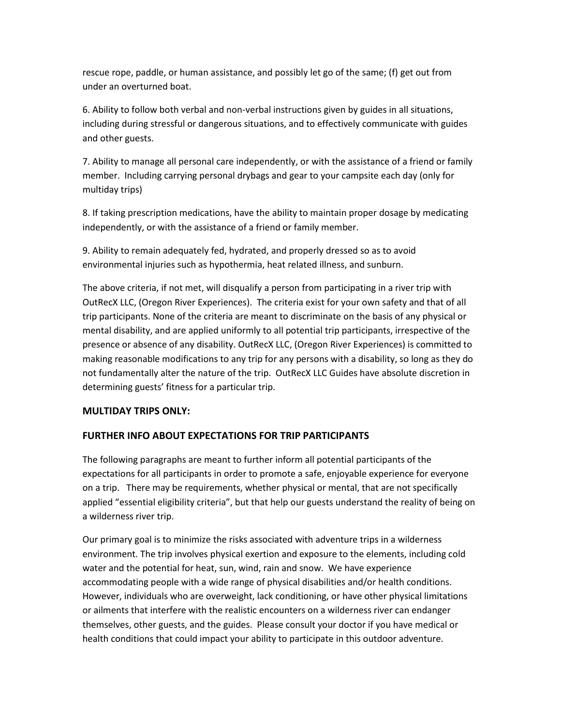rescue rope, paddle, or human assistance, and possibly let go of the same; (f) get out from under an overturned boat.

6. Ability to follow both verbal and non-verbal instructions given by guides in all situations, including during stressful or dangerous situations, and to effectively communicate with guides and other guests.

7. Ability to manage all personal care independently, or with the assistance of a friend or family member. Including carrying personal drybags and gear to your campsite each day (only for multiday trips)

8. If taking prescription medications, have the ability to maintain proper dosage by medicating independently, or with the assistance of a friend or family member.

9. Ability to remain adequately fed, hydrated, and properly dressed so as to avoid environmental injuries such as hypothermia, heat related illness, and sunburn.

The above criteria, if not met, will disqualify a person from participating in a river trip with OutRecX LLC, (Oregon River Experiences). The criteria exist for your own safety and that of all trip participants. None of the criteria are meant to discriminate on the basis of any physical or mental disability, and are applied uniformly to all potential trip participants, irrespective of the presence or absence of any disability. OutRecX LLC, (Oregon River Experiences) is committed to making reasonable modifications to any trip for any persons with a disability, so long as they do not fundamentally alter the nature of the trip. OutRecX LLC Guides have absolute discretion in determining guests' fitness for a particular trip.

#### **MULTIDAY TRIPS ONLY:**

#### **FURTHER INFO ABOUT EXPECTATIONS FOR TRIP PARTICIPANTS**

The following paragraphs are meant to further inform all potential participants of the expectations for all participants in order to promote a safe, enjoyable experience for everyone on a trip. There may be requirements, whether physical or mental, that are not specifically applied "essential eligibility criteria", but that help our guests understand the reality of being on a wilderness river trip.

Our primary goal is to minimize the risks associated with adventure trips in a wilderness environment. The trip involves physical exertion and exposure to the elements, including cold water and the potential for heat, sun, wind, rain and snow. We have experience accommodating people with a wide range of physical disabilities and/or health conditions. However, individuals who are overweight, lack conditioning, or have other physical limitations or ailments that interfere with the realistic encounters on a wilderness river can endanger themselves, other guests, and the guides. Please consult your doctor if you have medical or health conditions that could impact your ability to participate in this outdoor adventure.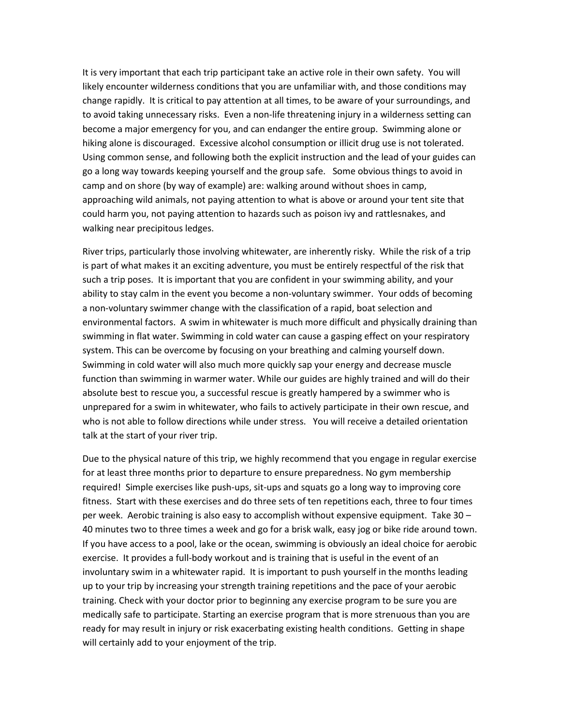It is very important that each trip participant take an active role in their own safety. You will likely encounter wilderness conditions that you are unfamiliar with, and those conditions may change rapidly. It is critical to pay attention at all times, to be aware of your surroundings, and to avoid taking unnecessary risks. Even a non-life threatening injury in a wilderness setting can become a major emergency for you, and can endanger the entire group. Swimming alone or hiking alone is discouraged. Excessive alcohol consumption or illicit drug use is not tolerated. Using common sense, and following both the explicit instruction and the lead of your guides can go a long way towards keeping yourself and the group safe. Some obvious things to avoid in camp and on shore (by way of example) are: walking around without shoes in camp, approaching wild animals, not paying attention to what is above or around your tent site that could harm you, not paying attention to hazards such as poison ivy and rattlesnakes, and walking near precipitous ledges.

River trips, particularly those involving whitewater, are inherently risky. While the risk of a trip is part of what makes it an exciting adventure, you must be entirely respectful of the risk that such a trip poses. It is important that you are confident in your swimming ability, and your ability to stay calm in the event you become a non-voluntary swimmer. Your odds of becoming a non-voluntary swimmer change with the classification of a rapid, boat selection and environmental factors. A swim in whitewater is much more difficult and physically draining than swimming in flat water. Swimming in cold water can cause a gasping effect on your respiratory system. This can be overcome by focusing on your breathing and calming yourself down. Swimming in cold water will also much more quickly sap your energy and decrease muscle function than swimming in warmer water. While our guides are highly trained and will do their absolute best to rescue you, a successful rescue is greatly hampered by a swimmer who is unprepared for a swim in whitewater, who fails to actively participate in their own rescue, and who is not able to follow directions while under stress. You will receive a detailed orientation talk at the start of your river trip.

Due to the physical nature of this trip, we highly recommend that you engage in regular exercise for at least three months prior to departure to ensure preparedness. No gym membership required! Simple exercises like push-ups, sit-ups and squats go a long way to improving core fitness. Start with these exercises and do three sets of ten repetitions each, three to four times per week. Aerobic training is also easy to accomplish without expensive equipment. Take 30 – 40 minutes two to three times a week and go for a brisk walk, easy jog or bike ride around town. If you have access to a pool, lake or the ocean, swimming is obviously an ideal choice for aerobic exercise. It provides a full-body workout and is training that is useful in the event of an involuntary swim in a whitewater rapid. It is important to push yourself in the months leading up to your trip by increasing your strength training repetitions and the pace of your aerobic training. Check with your doctor prior to beginning any exercise program to be sure you are medically safe to participate. Starting an exercise program that is more strenuous than you are ready for may result in injury or risk exacerbating existing health conditions. Getting in shape will certainly add to your enjoyment of the trip.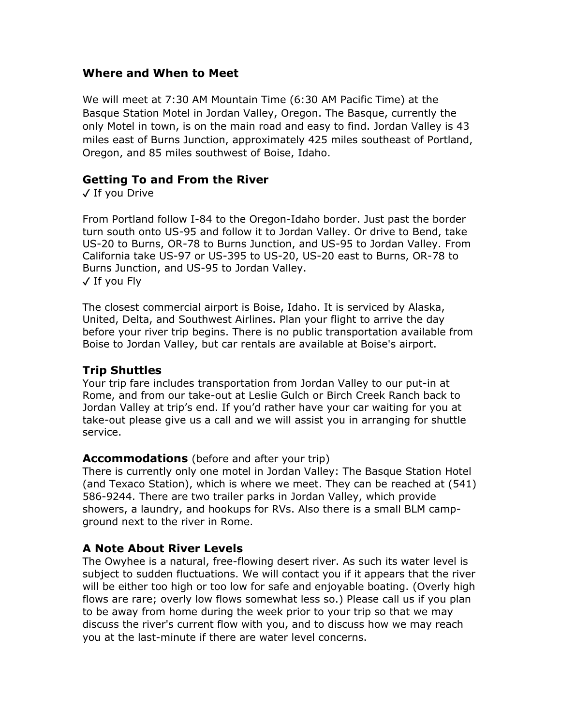#### **Where and When to Meet**

We will meet at 7:30 AM Mountain Time (6:30 AM Pacific Time) at the Basque Station Motel in Jordan Valley, Oregon. The Basque, currently the only Motel in town, is on the main road and easy to find. Jordan Valley is 43 miles east of Burns Junction, approximately 425 miles southeast of Portland, Oregon, and 85 miles southwest of Boise, Idaho.

#### **Getting To and From the River**

✓ If you Drive

From Portland follow I-84 to the Oregon-Idaho border. Just past the border turn south onto US-95 and follow it to Jordan Valley. Or drive to Bend, take US-20 to Burns, OR-78 to Burns Junction, and US-95 to Jordan Valley. From California take US-97 or US-395 to US-20, US-20 east to Burns, OR-78 to Burns Junction, and US-95 to Jordan Valley. ✓ If you Fly

The closest commercial airport is Boise, Idaho. It is serviced by Alaska, United, Delta, and Southwest Airlines. Plan your flight to arrive the day before your river trip begins. There is no public transportation available from Boise to Jordan Valley, but car rentals are available at Boise's airport.

#### **Trip Shuttles**

Your trip fare includes transportation from Jordan Valley to our put-in at Rome, and from our take-out at Leslie Gulch or Birch Creek Ranch back to Jordan Valley at trip's end. If you'd rather have your car waiting for you at take-out please give us a call and we will assist you in arranging for shuttle service.

#### **Accommodations** (before and after your trip)

There is currently only one motel in Jordan Valley: The Basque Station Hotel (and Texaco Station), which is where we meet. They can be reached at (541) 586-9244. There are two trailer parks in Jordan Valley, which provide showers, a laundry, and hookups for RVs. Also there is a small BLM campground next to the river in Rome.

#### **A Note About River Levels**

The Owyhee is a natural, free-flowing desert river. As such its water level is subject to sudden fluctuations. We will contact you if it appears that the river will be either too high or too low for safe and enjoyable boating. (Overly high flows are rare; overly low flows somewhat less so.) Please call us if you plan to be away from home during the week prior to your trip so that we may discuss the river's current flow with you, and to discuss how we may reach you at the last-minute if there are water level concerns.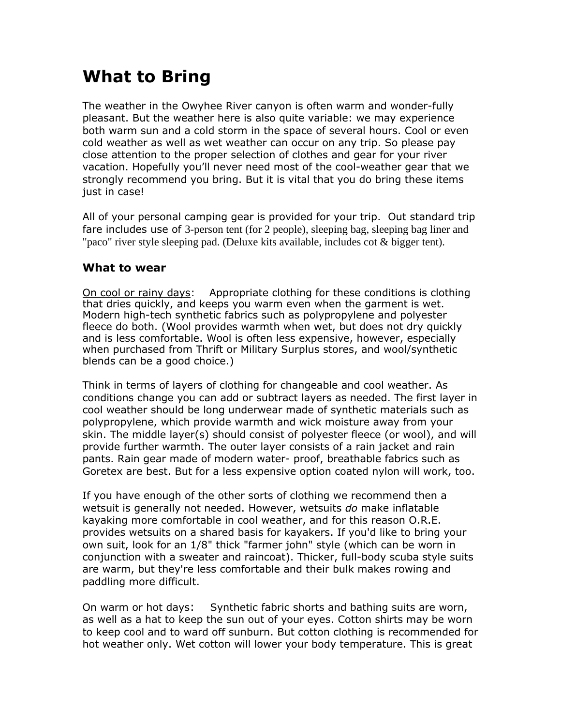### **What to Bring**

The weather in the Owyhee River canyon is often warm and wonder-fully pleasant. But the weather here is also quite variable: we may experience both warm sun and a cold storm in the space of several hours. Cool or even cold weather as well as wet weather can occur on any trip. So please pay close attention to the proper selection of clothes and gear for your river vacation. Hopefully you'll never need most of the cool-weather gear that we strongly recommend you bring. But it is vital that you do bring these items just in case!

All of your personal camping gear is provided for your trip. Out standard trip fare includes use of 3-person tent (for 2 people), sleeping bag, sleeping bag liner and "paco" river style sleeping pad. (Deluxe kits available, includes cot & bigger tent).

#### **What to wear**

On cool or rainy days: Appropriate clothing for these conditions is clothing that dries quickly, and keeps you warm even when the garment is wet. Modern high-tech synthetic fabrics such as polypropylene and polyester fleece do both. (Wool provides warmth when wet, but does not dry quickly and is less comfortable. Wool is often less expensive, however, especially when purchased from Thrift or Military Surplus stores, and wool/synthetic blends can be a good choice.)

Think in terms of layers of clothing for changeable and cool weather. As conditions change you can add or subtract layers as needed. The first layer in cool weather should be long underwear made of synthetic materials such as polypropylene, which provide warmth and wick moisture away from your skin. The middle layer(s) should consist of polyester fleece (or wool), and will provide further warmth. The outer layer consists of a rain jacket and rain pants. Rain gear made of modern water- proof, breathable fabrics such as Goretex are best. But for a less expensive option coated nylon will work, too.

If you have enough of the other sorts of clothing we recommend then a wetsuit is generally not needed. However, wetsuits *do* make inflatable kayaking more comfortable in cool weather, and for this reason O.R.E. provides wetsuits on a shared basis for kayakers. If you'd like to bring your own suit, look for an 1/8" thick "farmer john" style (which can be worn in conjunction with a sweater and raincoat). Thicker, full-body scuba style suits are warm, but they're less comfortable and their bulk makes rowing and paddling more difficult.

On warm or hot days: Synthetic fabric shorts and bathing suits are worn, as well as a hat to keep the sun out of your eyes. Cotton shirts may be worn to keep cool and to ward off sunburn. But cotton clothing is recommended for hot weather only. Wet cotton will lower your body temperature. This is great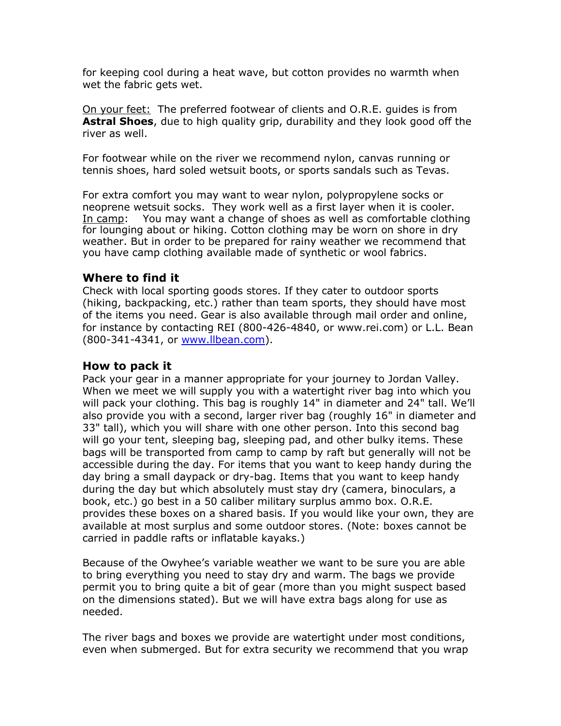for keeping cool during a heat wave, but cotton provides no warmth when wet the fabric gets wet.

On your feet: The preferred footwear of clients and O.R.E. guides is from **Astral Shoes**, due to high quality grip, durability and they look good off the river as well.

For footwear while on the river we recommend nylon, canvas running or tennis shoes, hard soled wetsuit boots, or sports sandals such as Tevas.

For extra comfort you may want to wear nylon, polypropylene socks or neoprene wetsuit socks. They work well as a first layer when it is cooler. In camp: You may want a change of shoes as well as comfortable clothing for lounging about or hiking. Cotton clothing may be worn on shore in dry weather. But in order to be prepared for rainy weather we recommend that you have camp clothing available made of synthetic or wool fabrics.

#### **Where to find it**

Check with local sporting goods stores. If they cater to outdoor sports (hiking, backpacking, etc.) rather than team sports, they should have most of the items you need. Gear is also available through mail order and online, for instance by contacting REI (800-426-4840, or www.rei.com) or L.L. Bean (800-341-4341, or [www.llbean.com\)](http://www.llbean.com/).

#### **How to pack it**

Pack your gear in a manner appropriate for your journey to Jordan Valley. When we meet we will supply you with a watertight river bag into which you will pack your clothing. This bag is roughly 14" in diameter and 24" tall. We'll also provide you with a second, larger river bag (roughly 16" in diameter and 33" tall), which you will share with one other person. Into this second bag will go your tent, sleeping bag, sleeping pad, and other bulky items. These bags will be transported from camp to camp by raft but generally will not be accessible during the day. For items that you want to keep handy during the day bring a small daypack or dry-bag. Items that you want to keep handy during the day but which absolutely must stay dry (camera, binoculars, a book, etc.) go best in a 50 caliber military surplus ammo box. O.R.E. provides these boxes on a shared basis. If you would like your own, they are available at most surplus and some outdoor stores. (Note: boxes cannot be carried in paddle rafts or inflatable kayaks.)

Because of the Owyhee's variable weather we want to be sure you are able to bring everything you need to stay dry and warm. The bags we provide permit you to bring quite a bit of gear (more than you might suspect based on the dimensions stated). But we will have extra bags along for use as needed.

The river bags and boxes we provide are watertight under most conditions, even when submerged. But for extra security we recommend that you wrap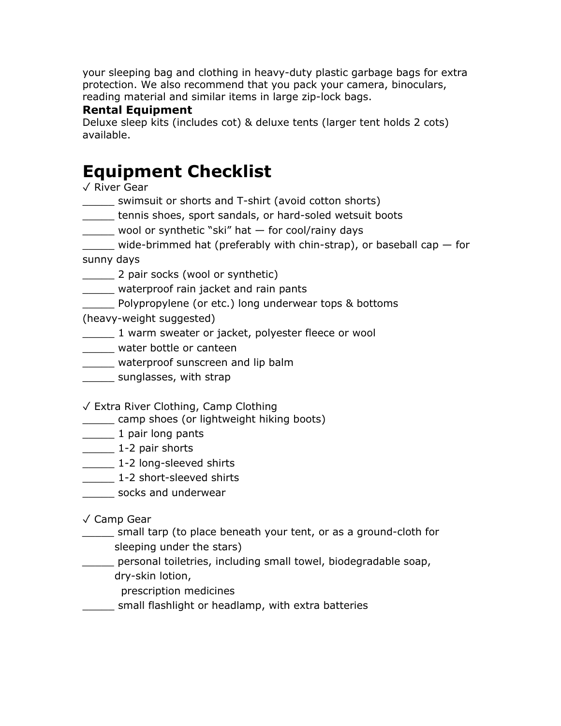your sleeping bag and clothing in heavy-duty plastic garbage bags for extra protection. We also recommend that you pack your camera, binoculars, reading material and similar items in large zip-lock bags.

#### **Rental Equipment**

Deluxe sleep kits (includes cot) & deluxe tents (larger tent holds 2 cots) available.

### **Equipment Checklist**

✓ River Gear

- \_\_\_\_\_ swimsuit or shorts and T-shirt (avoid cotton shorts)
- \_\_\_\_\_ tennis shoes, sport sandals, or hard-soled wetsuit boots
- \_\_\_\_\_ wool or synthetic "ski" hat for cool/rainy days
- \_\_\_\_\_ wide-brimmed hat (preferably with chin-strap), or baseball cap for

sunny days

- \_\_\_\_\_ 2 pair socks (wool or synthetic)
- \_\_\_\_\_ waterproof rain jacket and rain pants
- \_\_\_\_\_ Polypropylene (or etc.) long underwear tops & bottoms

(heavy-weight suggested)

- \_\_\_\_\_ 1 warm sweater or jacket, polyester fleece or wool
- \_\_\_\_\_ water bottle or canteen
- \_\_\_\_\_ waterproof sunscreen and lip balm
- **Example Sunglasses, with strap**
- ✓ Extra River Clothing, Camp Clothing
- \_\_\_\_\_ camp shoes (or lightweight hiking boots)
- **1** pair long pants
- \_\_\_\_\_\_\_\_ 1-2 pair shorts
- **1-2 long-sleeved shirts**
- \_\_\_\_\_\_ 1-2 short-sleeved shirts
- \_\_\_\_\_ socks and underwear

#### ✓ Camp Gear

- \_\_\_\_\_ small tarp (to place beneath your tent, or as a ground-cloth for sleeping under the stars)
- \_\_\_\_\_ personal toiletries, including small towel, biodegradable soap, dry-skin lotion,
	- prescription medicines
- \_\_\_\_\_ small flashlight or headlamp, with extra batteries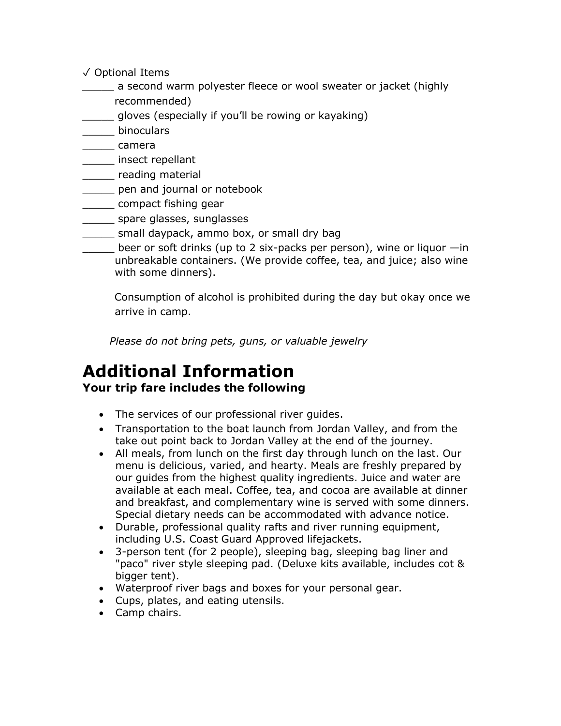- ✓ Optional Items
	- \_\_\_\_\_ a second warm polyester fleece or wool sweater or jacket (highly
- recommended)
- gloves (especially if you'll be rowing or kayaking)
- \_\_\_\_\_ binoculars
- \_\_\_\_\_ camera
- \_\_\_\_\_ insect repellant
- \_\_\_\_\_ reading material
- **where** pen and journal or notebook
- \_\_\_\_\_ compact fishing gear
- \_\_\_\_\_ spare glasses, sunglasses
- small daypack, ammo box, or small dry bag
- beer or soft drinks (up to 2 six-packs per person), wine or liquor —in unbreakable containers. (We provide coffee, tea, and juice; also wine with some dinners).

 Consumption of alcohol is prohibited during the day but okay once we arrive in camp.

*Please do not bring pets, guns, or valuable jewelry*

### **Additional Information Your trip fare includes the following**

- The services of our professional river guides.
- Transportation to the boat launch from Jordan Valley, and from the take out point back to Jordan Valley at the end of the journey.
- All meals, from lunch on the first day through lunch on the last. Our menu is delicious, varied, and hearty. Meals are freshly prepared by our guides from the highest quality ingredients. Juice and water are available at each meal. Coffee, tea, and cocoa are available at dinner and breakfast, and complementary wine is served with some dinners. Special dietary needs can be accommodated with advance notice.
- Durable, professional quality rafts and river running equipment, including U.S. Coast Guard Approved lifejackets.
- 3-person tent (for 2 people), sleeping bag, sleeping bag liner and "paco" river style sleeping pad. (Deluxe kits available, includes cot & bigger tent).
- Waterproof river bags and boxes for your personal gear.
- Cups, plates, and eating utensils.
- Camp chairs.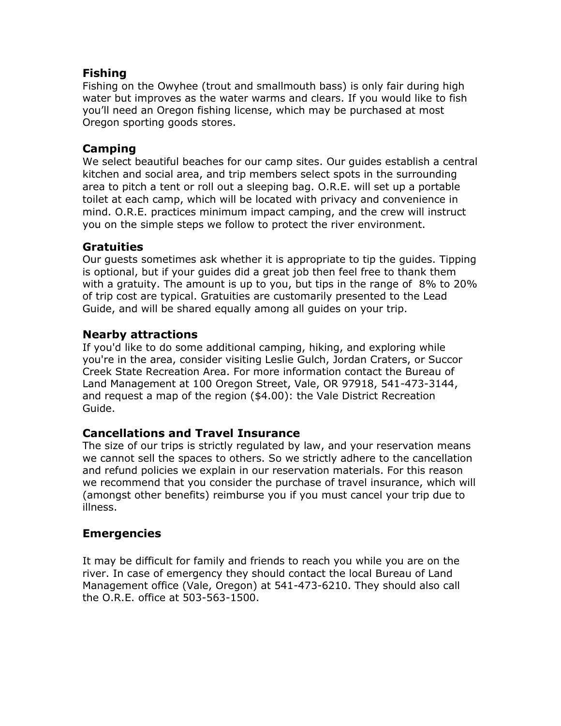#### **Fishing**

Fishing on the Owyhee (trout and smallmouth bass) is only fair during high water but improves as the water warms and clears. If you would like to fish you'll need an Oregon fishing license, which may be purchased at most Oregon sporting goods stores.

#### **Camping**

We select beautiful beaches for our camp sites. Our guides establish a central kitchen and social area, and trip members select spots in the surrounding area to pitch a tent or roll out a sleeping bag. O.R.E. will set up a portable toilet at each camp, which will be located with privacy and convenience in mind. O.R.E. practices minimum impact camping, and the crew will instruct you on the simple steps we follow to protect the river environment.

#### **Gratuities**

Our guests sometimes ask whether it is appropriate to tip the guides. Tipping is optional, but if your guides did a great job then feel free to thank them with a gratuity. The amount is up to you, but tips in the range of 8% to 20% of trip cost are typical. Gratuities are customarily presented to the Lead Guide, and will be shared equally among all guides on your trip.

#### **Nearby attractions**

If you'd like to do some additional camping, hiking, and exploring while you're in the area, consider visiting Leslie Gulch, Jordan Craters, or Succor Creek State Recreation Area. For more information contact the Bureau of Land Management at 100 Oregon Street, Vale, OR 97918, 541-473-3144, and request a map of the region (\$4.00): the Vale District Recreation Guide.

#### **Cancellations and Travel Insurance**

The size of our trips is strictly regulated by law, and your reservation means we cannot sell the spaces to others. So we strictly adhere to the cancellation and refund policies we explain in our reservation materials. For this reason we recommend that you consider the purchase of travel insurance, which will (amongst other benefits) reimburse you if you must cancel your trip due to illness.

#### **Emergencies**

It may be difficult for family and friends to reach you while you are on the river. In case of emergency they should contact the local Bureau of Land Management office (Vale, Oregon) at 541-473-6210. They should also call the O.R.E. office at 503-563-1500.